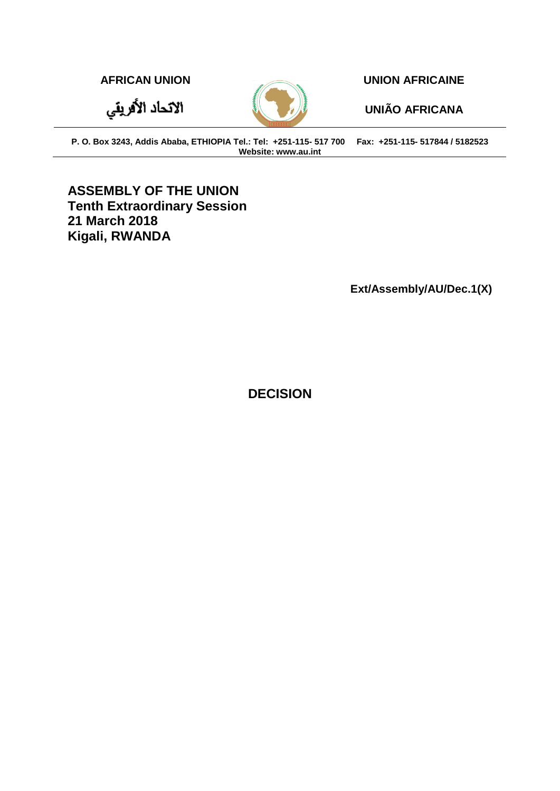الاتحاد الأفريقي



**AFRICAN UNION UNION AFRICAINE**

**UNIÃO AFRICANA**

**P. O. Box 3243, Addis Ababa, ETHIOPIA Tel.: Tel: +251-115- 517 700 Fax: +251-115- 517844 / 5182523 Website: www.au.int**

**ASSEMBLY OF THE UNION Tenth Extraordinary Session 21 March 2018 Kigali, RWANDA** 

**Ext/Assembly/AU/Dec.1(X)**

**DECISION**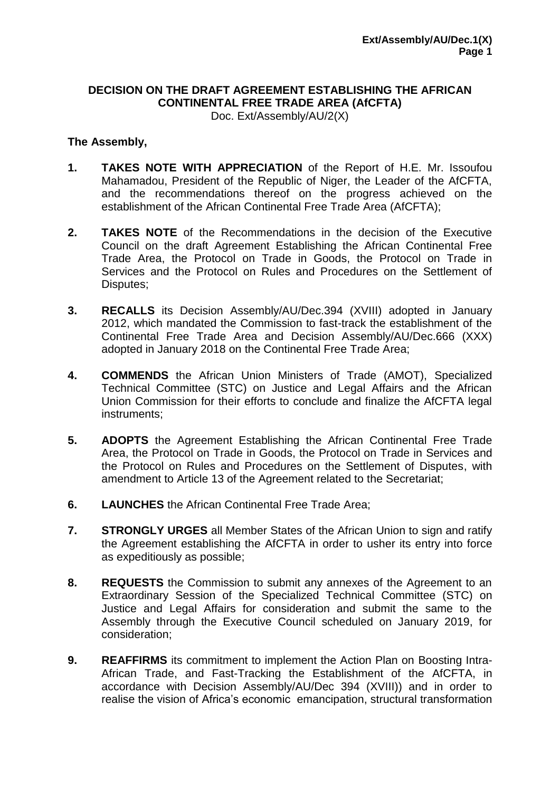## **DECISION ON THE DRAFT AGREEMENT ESTABLISHING THE AFRICAN CONTINENTAL FREE TRADE AREA (AfCFTA)**

Doc. Ext/Assembly/AU/2(X)

## **The Assembly,**

- **1. TAKES NOTE WITH APPRECIATION** of the Report of H.E. Mr. Issoufou Mahamadou, President of the Republic of Niger, the Leader of the AfCFTA, and the recommendations thereof on the progress achieved on the establishment of the African Continental Free Trade Area (AfCFTA);
- **2. TAKES NOTE** of the Recommendations in the decision of the Executive Council on the draft Agreement Establishing the African Continental Free Trade Area, the Protocol on Trade in Goods, the Protocol on Trade in Services and the Protocol on Rules and Procedures on the Settlement of Disputes;
- **3. RECALLS** its Decision Assembly/AU/Dec.394 (XVIII) adopted in January 2012, which mandated the Commission to fast-track the establishment of the Continental Free Trade Area and Decision Assembly/AU/Dec.666 (XXX) adopted in January 2018 on the Continental Free Trade Area;
- **4. COMMENDS** the African Union Ministers of Trade (AMOT), Specialized Technical Committee (STC) on Justice and Legal Affairs and the African Union Commission for their efforts to conclude and finalize the AfCFTA legal instruments;
- **5. ADOPTS** the Agreement Establishing the African Continental Free Trade Area, the Protocol on Trade in Goods, the Protocol on Trade in Services and the Protocol on Rules and Procedures on the Settlement of Disputes, with amendment to Article 13 of the Agreement related to the Secretariat;
- **6. LAUNCHES** the African Continental Free Trade Area;
- **7. STRONGLY URGES** all Member States of the African Union to sign and ratify the Agreement establishing the AfCFTA in order to usher its entry into force as expeditiously as possible;
- **8. REQUESTS** the Commission to submit any annexes of the Agreement to an Extraordinary Session of the Specialized Technical Committee (STC) on Justice and Legal Affairs for consideration and submit the same to the Assembly through the Executive Council scheduled on January 2019, for consideration;
- **9. REAFFIRMS** its commitment to implement the Action Plan on Boosting Intra-African Trade, and Fast-Tracking the Establishment of the AfCFTA, in accordance with Decision Assembly/AU/Dec 394 (XVIII)) and in order to realise the vision of Africa's economic emancipation, structural transformation